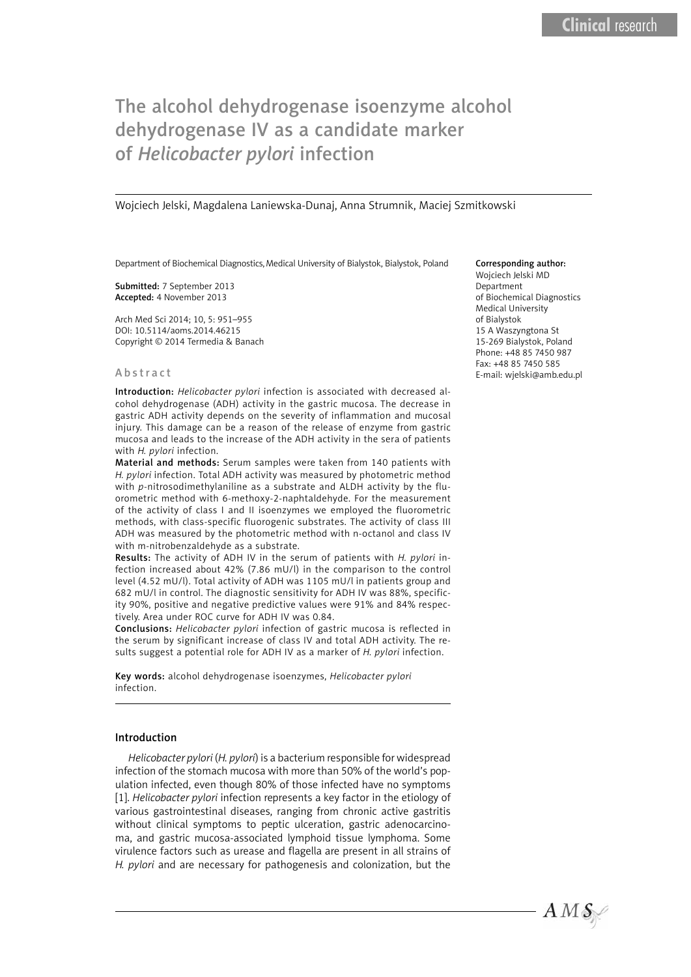# The alcohol dehydrogenase isoenzyme alcohol dehydrogenase IV as a candidate marker of *Helicobacter pylori* infection

#### Wojciech Jelski, Magdalena Laniewska-Dunaj, Anna Strumnik, Maciej Szmitkowski

Department of Biochemical Diagnostics, Medical University of Bialystok, Bialystok, Poland

Submitted: 7 September 2013 Accepted: 4 November 2013

Arch Med Sci 2014; 10, 5: 951–955 DOI: 10.5114/aoms.2014.46215 Copyright © 2014 Termedia & Banach

#### Abstract

Introduction: *Helicobacter pylori* infection is associated with decreased alcohol dehydrogenase (ADH) activity in the gastric mucosa. The decrease in gastric ADH activity depends on the severity of inflammation and mucosal injury. This damage can be a reason of the release of enzyme from gastric mucosa and leads to the increase of the ADH activity in the sera of patients with *H. pylori* infection.

Material and methods: Serum samples were taken from 140 patients with *H. pylori* infection. Total ADH activity was measured by photometric method with *p*-nitrosodimethylaniline as a substrate and ALDH activity by the fluorometric method with 6-methoxy-2-naphtaldehyde. For the measurement of the activity of class I and II isoenzymes we employed the fluorometric methods, with class-specific fluorogenic substrates. The activity of class III ADH was measured by the photometric method with n-octanol and class IV with m-nitrobenzaldehyde as a substrate.

Results: The activity of ADH IV in the serum of patients with *H. pylori* infection increased about 42% (7.86 mU/l) in the comparison to the control level (4.52 mU/l). Total activity of ADH was 1105 mU/l in patients group and 682 mU/l in control. The diagnostic sensitivity for ADH IV was 88%, specificity 90%, positive and negative predictive values were 91% and 84% respectively. Area under ROC curve for ADH IV was 0.84.

Conclusions: *Helicobacter pylori* infection of gastric mucosa is reflected in the serum by significant increase of class IV and total ADH activity. The results suggest a potential role for ADH IV as a marker of *H. pylori* infection.

Key words: alcohol dehydrogenase isoenzymes, *Helicobacter pylori* infection.

## Introduction

*Helicobacter pylori* (*H. pylori*) is a bacterium responsible for widespread infection of the stomach mucosa with more than 50% of the world's population infected, even though 80% of those infected have no symptoms [1]. *Helicobacter pylori* infection represents a key factor in the etiology of various gastrointestinal diseases, ranging from chronic active gastritis without clinical symptoms to peptic ulceration, gastric adenocarcinoma, and gastric mucosa-associated lymphoid tissue lymphoma. Some virulence factors such as urease and flagella are present in all strains of *H. pylori* and are necessary for pathogenesis and colonization, but the

#### Corresponding author:

Wojciech Jelski MD Department of Biochemical Diagnostics Medical University of Bialystok 15 A Waszyngtona St 15-269 Bialystok, Poland Phone: +48 85 7450 987 Fax: +48 85 7450 585 E-mail: wjelski@amb.edu.pl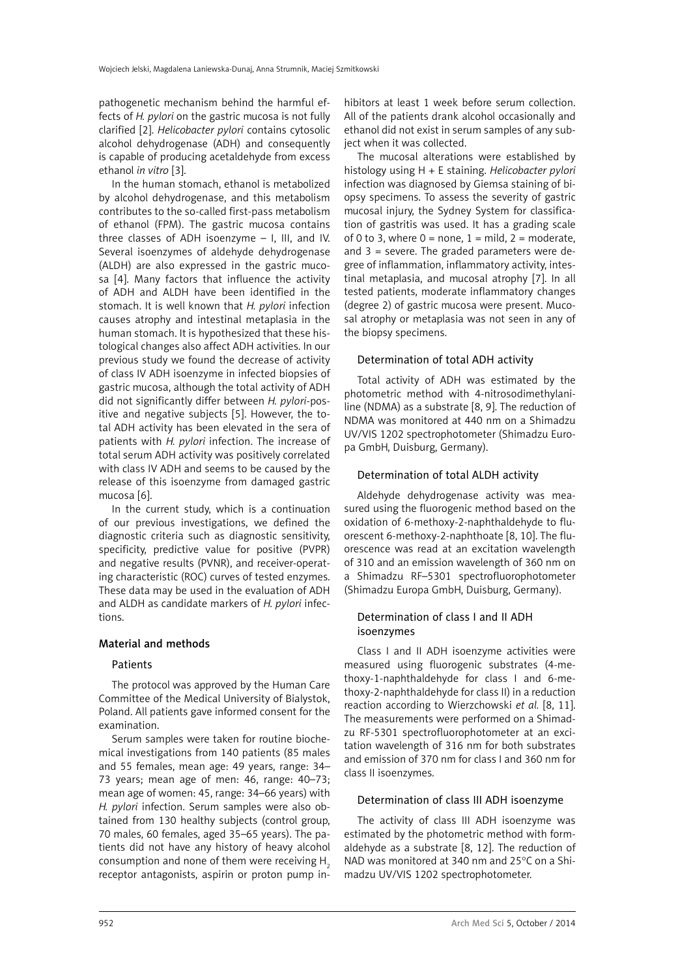pathogenetic mechanism behind the harmful effects of *H. pylori* on the gastric mucosa is not fully clarified [2]. *Helicobacter pylori* contains cytosolic alcohol dehydrogenase (ADH) and consequently is capable of producing acetaldehyde from excess ethanol *in vitro* [3].

In the human stomach, ethanol is metabolized by alcohol dehydrogenase, and this metabolism contributes to the so-called first-pass metabolism of ethanol (FPM). The gastric mucosa contains three classes of ADH isoenzyme – I, III, and IV. Several isoenzymes of aldehyde dehydrogenase (ALDH) are also expressed in the gastric mucosa [4]. Many factors that influence the activity of ADH and ALDH have been identified in the stomach. It is well known that *H. pylori* infection causes atrophy and intestinal metaplasia in the human stomach. It is hypothesized that these histological changes also affect ADH activities. In our previous study we found the decrease of activity of class IV ADH isoenzyme in infected biopsies of gastric mucosa, although the total activity of ADH did not significantly differ between *H. pylori*-positive and negative subjects [5]. However, the total ADH activity has been elevated in the sera of patients with *H. pylori* infection. The increase of total serum ADH activity was positively correlated with class IV ADH and seems to be caused by the release of this isoenzyme from damaged gastric mucosa [6].

In the current study, which is a continuation of our previous investigations, we defined the diagnostic criteria such as diagnostic sensitivity, specificity, predictive value for positive (PVPR) and negative results (PVNR), and receiver-operating characteristic (ROC) curves of tested enzymes. These data may be used in the evaluation of ADH and ALDH as candidate markers of *H. pylori* infections.

# Material and methods

## Patients

The protocol was approved by the Human Care Committee of the Medical University of Bialystok, Poland. All patients gave informed consent for the examination.

Serum samples were taken for routine biochemical investigations from 140 patients (85 males and 55 females, mean age: 49 years, range: 34– 73 years; mean age of men: 46, range: 40–73; mean age of women: 45, range: 34–66 years) with *H. pylori* infection. Serum samples were also obtained from 130 healthy subjects (control group, 70 males, 60 females, aged 35–65 years). The patients did not have any history of heavy alcohol consumption and none of them were receiving  $H<sub>2</sub>$ receptor antagonists, aspirin or proton pump inhibitors at least 1 week before serum collection. All of the patients drank alcohol occasionally and ethanol did not exist in serum samples of any subject when it was collected.

The mucosal alterations were established by histology using H + E staining. *Helicobacter pylori* infection was diagnosed by Giemsa staining of biopsy specimens. To assess the severity of gastric mucosal injury, the Sydney System for classification of gastritis was used. It has a grading scale of 0 to 3, where  $0 =$  none,  $1 =$  mild,  $2 =$  moderate, and  $3$  = severe. The graded parameters were degree of inflammation, inflammatory activity, intestinal metaplasia, and mucosal atrophy [7]. In all tested patients, moderate inflammatory changes (degree 2) of gastric mucosa were present. Mucosal atrophy or metaplasia was not seen in any of the biopsy specimens.

# Determination of total ADH activity

Total activity of ADH was estimated by the photometric method with 4-nitrosodimethylaniline (NDMA) as a substrate [8, 9]. The reduction of NDMA was monitored at 440 nm on a Shimadzu UV/VIS 1202 spectrophotometer (Shimadzu Europa GmbH, Duisburg, Germany).

# Determination of total ALDH activity

Aldehyde dehydrogenase activity was measured using the fluorogenic method based on the oxidation of 6-methoxy-2-naphthaldehyde to fluorescent 6-methoxy-2-naphthoate [8, 10]. The fluorescence was read at an excitation wavelength of 310 and an emission wavelength of 360 nm on a Shimadzu RF–5301 spectrofluorophotometer (Shimadzu Europa GmbH, Duisburg, Germany).

# Determination of class I and II ADH isoenzymes

Class I and II ADH isoenzyme activities were measured using fluorogenic substrates (4-methoxy-1-naphthaldehyde for class I and 6-methoxy-2-naphthaldehyde for class II) in a reduction reaction according to Wierzchowski *et al.* [8, 11]. The measurements were performed on a Shimadzu RF-5301 spectrofluorophotometer at an excitation wavelength of 316 nm for both substrates and emission of 370 nm for class I and 360 nm for class II isoenzymes.

# Determination of class III ADH isoenzyme

The activity of class III ADH isoenzyme was estimated by the photometric method with formaldehyde as a substrate [8, 12]. The reduction of NAD was monitored at 340 nm and 25°C on a Shimadzu UV/VIS 1202 spectrophotometer.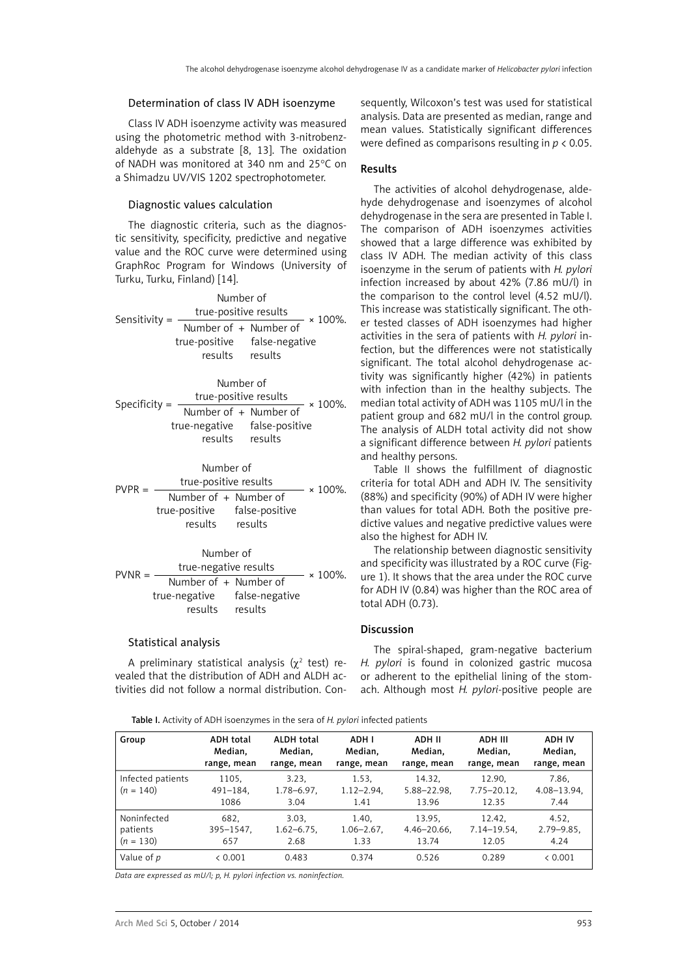#### Determination of class IV ADH isoenzyme

Class IV ADH isoenzyme activity was measured using the photometric method with 3-nitrobenzaldehyde as a substrate [8, 13]. The oxidation of NADH was monitored at 340 nm and 25°C on a Shimadzu UV/VIS 1202 spectrophotometer.

#### Diagnostic values calculation

The diagnostic criteria, such as the diagnostic sensitivity, specificity, predictive and negative value and the ROC curve were determined using GraphRoc Program for Windows (University of Turku, Turku, Finland) [14].

Number of Sensitivity =  $\frac{\text{true-positive results}}{\text{x 100\%}}$ Number of + Number of true-positive false-negative results results

|                 | Number of                    |                    |  |
|-----------------|------------------------------|--------------------|--|
| Specificity $=$ | true-positive results        | $- \times 100\%$ . |  |
|                 | Number of + Number of        |                    |  |
|                 | true-negative false-positive |                    |  |
|                 | results                      | results            |  |
|                 |                              |                    |  |

# Number of PVPR =  $\frac{\text{true-positive results}}{\text{Number of + Number of}} \times 100\%$ . true-positive false-positive results results

|          | Number of                    |         |                |
|----------|------------------------------|---------|----------------|
| $PVNR =$ | true-negative results        |         | $\times$ 100%. |
|          | Number of + Number of        |         |                |
|          | true-negative false-negative |         |                |
|          | results                      | results |                |

#### Statistical analysis

A preliminary statistical analysis ( $\chi^2$  test) revealed that the distribution of ADH and ALDH activities did not follow a normal distribution. Con-

sequently, Wilcoxon's test was used for statistical analysis. Data are presented as median, range and mean values. Statistically significant differences were defined as comparisons resulting in *p* < 0.05.

#### Results

The activities of alcohol dehydrogenase, aldehyde dehydrogenase and isoenzymes of alcohol dehydrogenase in the sera are presented in Table I. The comparison of ADH isoenzymes activities showed that a large difference was exhibited by class IV ADH. The median activity of this class isoenzyme in the serum of patients with *H. pylori* infection increased by about 42% (7.86 mU/l) in the comparison to the control level (4.52 mU/l). This increase was statistically significant. The other tested classes of ADH isoenzymes had higher activities in the sera of patients with *H. pylori* infection, but the differences were not statistically significant. The total alcohol dehydrogenase activity was significantly higher (42%) in patients with infection than in the healthy subjects. The median total activity of ADH was 1105 mU/l in the patient group and 682 mU/l in the control group. The analysis of ALDH total activity did not show a significant difference between *H. pylori* patients and healthy persons.

Table II shows the fulfillment of diagnostic criteria for total ADH and ADH IV. The sensitivity (88%) and specificity (90%) of ADH IV were higher than values for total ADH. Both the positive predictive values and negative predictive values were also the highest for ADH IV.

The relationship between diagnostic sensitivity and specificity was illustrated by a ROC curve (Figure 1). It shows that the area under the ROC curve for ADH IV (0.84) was higher than the ROC area of total ADH (0.73).

# Discussion

The spiral-shaped, gram-negative bacterium *H. pylori* is found in colonized gastric mucosa or adherent to the epithelial lining of the stomach. Although most *H. pylori*-positive people are

Table I. Activity of ADH isoenzymes in the sera of *H. pylori* infected patients

| Group                            | <b>ADH</b> total               | <b>ALDH</b> total                | ADH I                          | ADH II                         | ADH III                           | ADH IV                            |
|----------------------------------|--------------------------------|----------------------------------|--------------------------------|--------------------------------|-----------------------------------|-----------------------------------|
|                                  | Median,                        | Median,                          | Median,                        | Median,                        | Median,                           | Median,                           |
|                                  | range, mean                    | range, mean                      | range, mean                    | range, mean                    | range, mean                       | range, mean                       |
| Infected patients<br>$(n = 140)$ | 1105,<br>$491 - 184$ ,<br>1086 | 3.23.<br>$1.78 - 6.97$ ,<br>3.04 | 1.53,<br>$1.12 - 2.94$<br>1.41 | 14.32.<br>5.88-22.98,<br>13.96 | 12.90.<br>$7.75 - 20.12$<br>12.35 | 7.86,<br>$4.08 - 13.94$ ,<br>7.44 |
| Noninfected                      | 682.                           | 3.03.                            | 1.40.                          | 13.95.                         | 12.42.                            | 4.52,                             |
| patients                         | 395-1547,                      | $1.62 - 6.75$ ,                  | $1.06 - 2.67$ ,                | $4.46 - 20.66$ ,               | $7.14 - 19.54$ ,                  | $2.79 - 9.85$                     |
| $(n = 130)$                      | 657                            | 2.68                             | 1.33                           | 13.74                          | 12.05                             | 4.24                              |
| Value of p                       | < 0.001                        | 0.483                            | 0.374                          | 0.526                          | 0.289                             | & 0.001                           |

*Data are expressed as mU/l; p, H. pylori infection vs. noninfection.*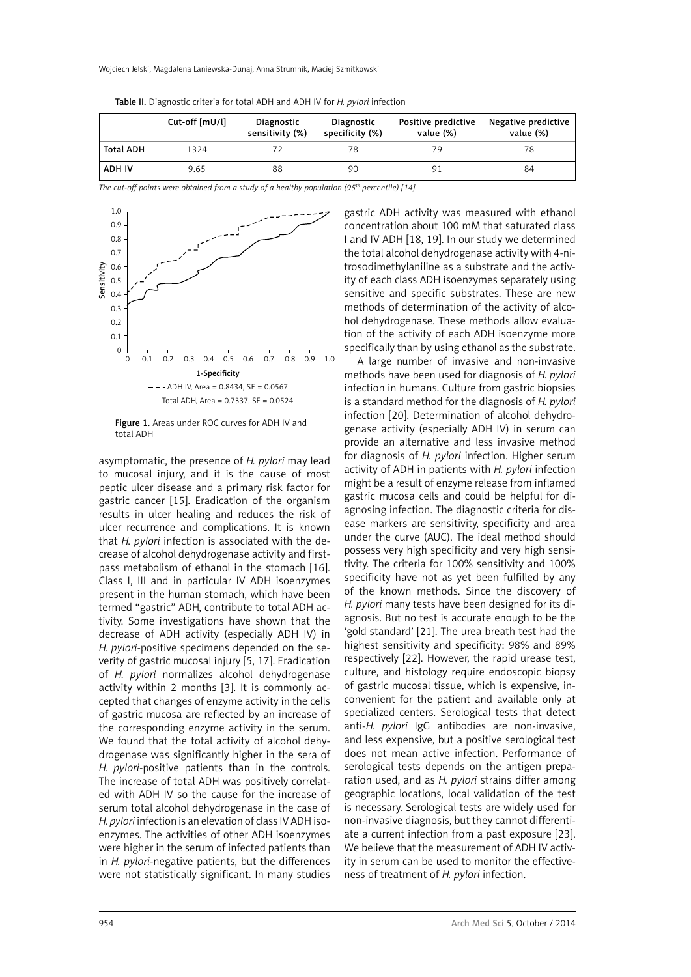Wojciech Jelski, Magdalena Laniewska-Dunaj, Anna Strumnik, Maciej Szmitkowski

|  |  | Table II. Diagnostic criteria for total ADH and ADH IV for H. pylori infection |
|--|--|--------------------------------------------------------------------------------|
|--|--|--------------------------------------------------------------------------------|

|                  | Cut-off [mU/l] | Diagnostic<br>sensitivity (%) | Diagnostic<br>specificity (%) | Positive predictive<br>value (%) | Negative predictive<br>value (%) |
|------------------|----------------|-------------------------------|-------------------------------|----------------------------------|----------------------------------|
| <b>Total ADH</b> | 1324           |                               |                               |                                  | 78                               |
| <b>ADH IV</b>    | 9.65           | 88                            | 90                            |                                  | 84                               |

*The cut-off points were obtained from a study of a healthy population (95th percentile) [14].*



Figure 1. Areas under ROC curves for ADH IV and total ADH

asymptomatic, the presence of *H. pylori* may lead to mucosal injury, and it is the cause of most peptic ulcer disease and a primary risk factor for gastric cancer [15]. Eradication of the organism results in ulcer healing and reduces the risk of ulcer recurrence and complications. It is known that *H. pylori* infection is associated with the decrease of alcohol dehydrogenase activity and firstpass metabolism of ethanol in the stomach [16]. Class I, III and in particular IV ADH isoenzymes present in the human stomach, which have been termed "gastric" ADH, contribute to total ADH activity. Some investigations have shown that the decrease of ADH activity (especially ADH IV) in *H. pylori*-positive specimens depended on the severity of gastric mucosal injury [5, 17]. Eradication of *H. pylori* normalizes alcohol dehydrogenase activity within 2 months [3]. It is commonly accepted that changes of enzyme activity in the cells of gastric mucosa are reflected by an increase of the corresponding enzyme activity in the serum. We found that the total activity of alcohol dehydrogenase was significantly higher in the sera of *H. pylori*-positive patients than in the controls. The increase of total ADH was positively correlated with ADH IV so the cause for the increase of serum total alcohol dehydrogenase in the case of *H. pylori* infection is an elevation of class IV ADH isoenzymes. The activities of other ADH isoenzymes were higher in the serum of infected patients than in *H. pylori*-negative patients, but the differences were not statistically significant. In many studies

gastric ADH activity was measured with ethanol concentration about 100 mM that saturated class I and IV ADH [18, 19]. In our study we determined the total alcohol dehydrogenase activity with 4-nitrosodimethylaniline as a substrate and the activity of each class ADH isoenzymes separately using sensitive and specific substrates. These are new methods of determination of the activity of alcohol dehydrogenase. These methods allow evaluation of the activity of each ADH isoenzyme more specifically than by using ethanol as the substrate.

A large number of invasive and non-invasive methods have been used for diagnosis of *H. pylori* infection in humans. Culture from gastric biopsies is a standard method for the diagnosis of *H. pylori*  infection [20]. Determination of alcohol dehydrogenase activity (especially ADH IV) in serum can provide an alternative and less invasive method for diagnosis of *H. pylori* infection. Higher serum activity of ADH in patients with *H. pylori* infection might be a result of enzyme release from inflamed gastric mucosa cells and could be helpful for diagnosing infection. The diagnostic criteria for disease markers are sensitivity, specificity and area under the curve (AUC). The ideal method should possess very high specificity and very high sensitivity. The criteria for 100% sensitivity and 100% specificity have not as yet been fulfilled by any of the known methods. Since the discovery of *H. pylori* many tests have been designed for its diagnosis. But no test is accurate enough to be the 'gold standard' [21]. The urea breath test had the highest sensitivity and specificity: 98% and 89% respectively [22]. However, the rapid urease test, culture, and histology require endoscopic biopsy of gastric mucosal tissue, which is expensive, inconvenient for the patient and available only at specialized centers. Serological tests that detect anti-*H. pylori* IgG antibodies are non-invasive, and less expensive, but a positive serological test does not mean active infection. Performance of serological tests depends on the antigen preparation used, and as *H. pylori* strains differ among geographic locations, local validation of the test is necessary. Serological tests are widely used for non-invasive diagnosis, but they cannot differentiate a current infection from a past exposure [23]. We believe that the measurement of ADH IV activity in serum can be used to monitor the effectiveness of treatment of *H. pylori* infection.